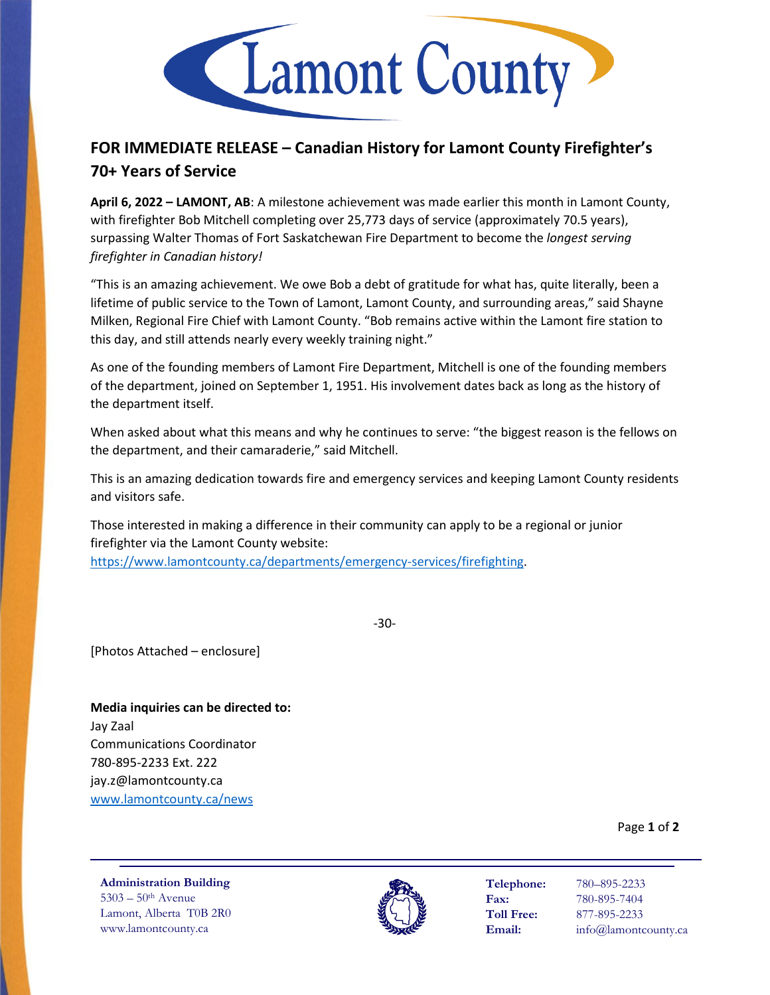

## **FOR IMMEDIATE RELEASE – Canadian History for Lamont County Firefighter's 70+ Years of Service**

**April 6, 2022 – LAMONT, AB**: A milestone achievement was made earlier this month in Lamont County, with firefighter Bob Mitchell completing over 25,773 days of service (approximately 70.5 years), surpassing Walter Thomas of Fort Saskatchewan Fire Department to become the *longest serving firefighter in Canadian history!*

"This is an amazing achievement. We owe Bob a debt of gratitude for what has, quite literally, been a lifetime of public service to the Town of Lamont, Lamont County, and surrounding areas," said Shayne Milken, Regional Fire Chief with Lamont County. "Bob remains active within the Lamont fire station to this day, and still attends nearly every weekly training night."

As one of the founding members of Lamont Fire Department, Mitchell is one of the founding members of the department, joined on September 1, 1951. His involvement dates back as long as the history of the department itself.

When asked about what this means and why he continues to serve: "the biggest reason is the fellows on the department, and their camaraderie," said Mitchell.

This is an amazing dedication towards fire and emergency services and keeping Lamont County residents and visitors safe.

Those interested in making a difference in their community can apply to be a regional or junior firefighter via the Lamont County website: [https://www.lamontcounty.ca/departments/emergency-services/firefighting.](https://www.lamontcounty.ca/departments/emergency-services/firefighting)

-30-

[Photos Attached – enclosure]

**Media inquiries can be directed to:** Jay Zaal Communications Coordinator 780-895-2233 Ext. 222 jay.z@lamontcounty.ca [www.lamontcounty.ca/news](http://www.lamontcounty.ca/news)

Page **1** of **2**

**Administration Building** 5303 – 50th Avenue Lamont, Alberta T0B 2R0 www.lamontcounty.ca



**Telephone:** 780–895-2233 **Fax:** 780-895-7404 **Toll Free:** 877-895-2233 **Email:** info@lamontcounty.ca